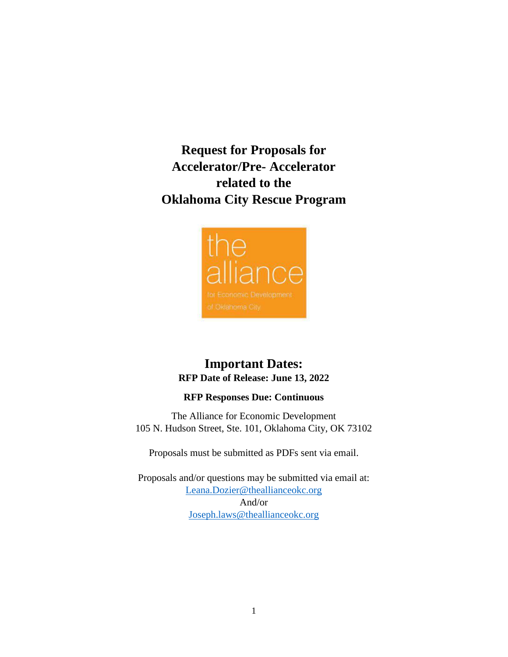**Request for Proposals for Accelerator/Pre- Accelerator related to the Oklahoma City Rescue Program**



# **Important Dates: RFP Date of Release: June 13, 2022**

#### **RFP Responses Due: Continuous**

The Alliance for Economic Development 105 N. Hudson Street, Ste. 101, Oklahoma City, OK 73102

Proposals must be submitted as PDFs sent via email.

Proposals and/or questions may be submitted via email at: [Leana.Dozier@theallianceokc.org](mailto:Leana.Dozier@theallianceokc.org) And/or [Joseph.laws@theallianceokc.org](mailto:Joseph.laws@theallianceokc.org)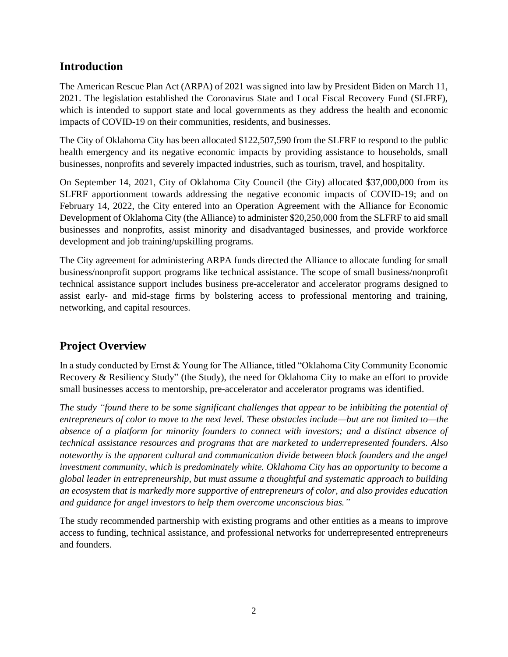### **Introduction**

The American Rescue Plan Act (ARPA) of 2021 was signed into law by President Biden on March 11, 2021. The legislation established the Coronavirus State and Local Fiscal Recovery Fund (SLFRF), which is intended to support state and local governments as they address the health and economic impacts of COVID-19 on their communities, residents, and businesses.

The City of Oklahoma City has been allocated \$122,507,590 from the SLFRF to respond to the public health emergency and its negative economic impacts by providing assistance to households, small businesses, nonprofits and severely impacted industries, such as tourism, travel, and hospitality.

On September 14, 2021, City of Oklahoma City Council (the City) allocated \$37,000,000 from its SLFRF apportionment towards addressing the negative economic impacts of COVID-19; and on February 14, 2022, the City entered into an Operation Agreement with the Alliance for Economic Development of Oklahoma City (the Alliance) to administer \$20,250,000 from the SLFRF to aid small businesses and nonprofits, assist minority and disadvantaged businesses, and provide workforce development and job training/upskilling programs.

The City agreement for administering ARPA funds directed the Alliance to allocate funding for small business/nonprofit support programs like technical assistance. The scope of small business/nonprofit technical assistance support includes business pre-accelerator and accelerator programs designed to assist early- and mid-stage firms by bolstering access to professional mentoring and training, networking, and capital resources.

# **Project Overview**

In a study conducted by Ernst & Young for The Alliance, titled "Oklahoma City Community Economic Recovery & Resiliency Study" (the Study), the need for Oklahoma City to make an effort to provide small businesses access to mentorship, pre-accelerator and accelerator programs was identified.

*The study "found there to be some significant challenges that appear to be inhibiting the potential of entrepreneurs of color to move to the next level. These obstacles include—but are not limited to—the absence of a platform for minority founders to connect with investors; and a distinct absence of technical assistance resources and programs that are marketed to underrepresented founders. Also noteworthy is the apparent cultural and communication divide between black founders and the angel investment community, which is predominately white. Oklahoma City has an opportunity to become a global leader in entrepreneurship, but must assume a thoughtful and systematic approach to building an ecosystem that is markedly more supportive of entrepreneurs of color, and also provides education and guidance for angel investors to help them overcome unconscious bias."*

The study recommended partnership with existing programs and other entities as a means to improve access to funding, technical assistance, and professional networks for underrepresented entrepreneurs and founders.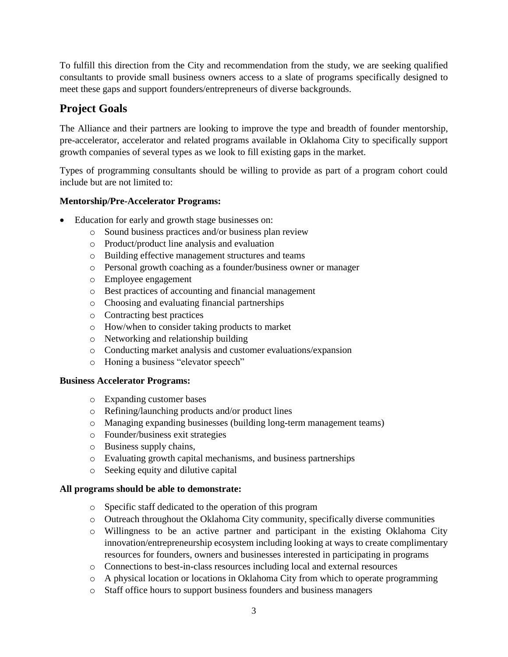To fulfill this direction from the City and recommendation from the study, we are seeking qualified consultants to provide small business owners access to a slate of programs specifically designed to meet these gaps and support founders/entrepreneurs of diverse backgrounds.

# **Project Goals**

The Alliance and their partners are looking to improve the type and breadth of founder mentorship, pre-accelerator, accelerator and related programs available in Oklahoma City to specifically support growth companies of several types as we look to fill existing gaps in the market.

Types of programming consultants should be willing to provide as part of a program cohort could include but are not limited to:

### **Mentorship/Pre-Accelerator Programs:**

- Education for early and growth stage businesses on:
	- o Sound business practices and/or business plan review
	- o Product/product line analysis and evaluation
	- o Building effective management structures and teams
	- o Personal growth coaching as a founder/business owner or manager
	- o Employee engagement
	- o Best practices of accounting and financial management
	- o Choosing and evaluating financial partnerships
	- o Contracting best practices
	- o How/when to consider taking products to market
	- o Networking and relationship building
	- o Conducting market analysis and customer evaluations/expansion
	- o Honing a business "elevator speech"

#### **Business Accelerator Programs:**

- o Expanding customer bases
- o Refining/launching products and/or product lines
- o Managing expanding businesses (building long-term management teams)
- o Founder/business exit strategies
- o Business supply chains,
- o Evaluating growth capital mechanisms, and business partnerships
- o Seeking equity and dilutive capital

#### **All programs should be able to demonstrate:**

- o Specific staff dedicated to the operation of this program
- o Outreach throughout the Oklahoma City community, specifically diverse communities
- o Willingness to be an active partner and participant in the existing Oklahoma City innovation/entrepreneurship ecosystem including looking at ways to create complimentary resources for founders, owners and businesses interested in participating in programs
- o Connections to best-in-class resources including local and external resources
- o A physical location or locations in Oklahoma City from which to operate programming
- o Staff office hours to support business founders and business managers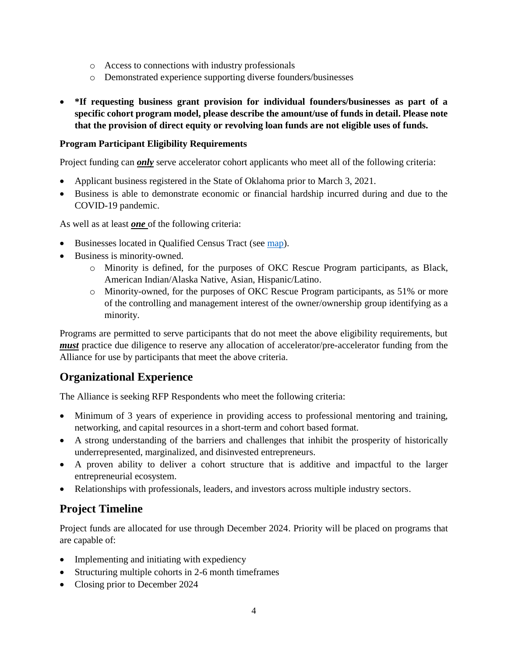- o Access to connections with industry professionals
- o Demonstrated experience supporting diverse founders/businesses
- **\*If requesting business grant provision for individual founders/businesses as part of a specific cohort program model, please describe the amount/use of funds in detail. Please note that the provision of direct equity or revolving loan funds are not eligible uses of funds.**

#### **Program Participant Eligibility Requirements**

Project funding can *only* serve accelerator cohort applicants who meet all of the following criteria:

- Applicant business registered in the State of Oklahoma prior to March 3, 2021.
- Business is able to demonstrate economic or financial hardship incurred during and due to the COVID-19 pandemic.

As well as at least *one* of the following criteria:

- Businesses located in Qualified Census Tract (see [map\)](https://hudgis-hud.opendata.arcgis.com/datasets/HUD::qualified-census-tracts/explore?location=35.481422%2C-97.477472%2C11.00).
- Business is minority-owned.
	- o Minority is defined, for the purposes of OKC Rescue Program participants, as Black, American Indian/Alaska Native, Asian, Hispanic/Latino.
	- o Minority-owned, for the purposes of OKC Rescue Program participants, as 51% or more of the controlling and management interest of the owner/ownership group identifying as a minority.

Programs are permitted to serve participants that do not meet the above eligibility requirements, but *must* practice due diligence to reserve any allocation of accelerator/pre-accelerator funding from the Alliance for use by participants that meet the above criteria.

# **Organizational Experience**

The Alliance is seeking RFP Respondents who meet the following criteria:

- Minimum of 3 years of experience in providing access to professional mentoring and training, networking, and capital resources in a short-term and cohort based format.
- A strong understanding of the barriers and challenges that inhibit the prosperity of historically underrepresented, marginalized, and disinvested entrepreneurs.
- A proven ability to deliver a cohort structure that is additive and impactful to the larger entrepreneurial ecosystem.
- Relationships with professionals, leaders, and investors across multiple industry sectors.

# **Project Timeline**

Project funds are allocated for use through December 2024. Priority will be placed on programs that are capable of:

- Implementing and initiating with expediency
- Structuring multiple cohorts in 2-6 month timeframes
- Closing prior to December 2024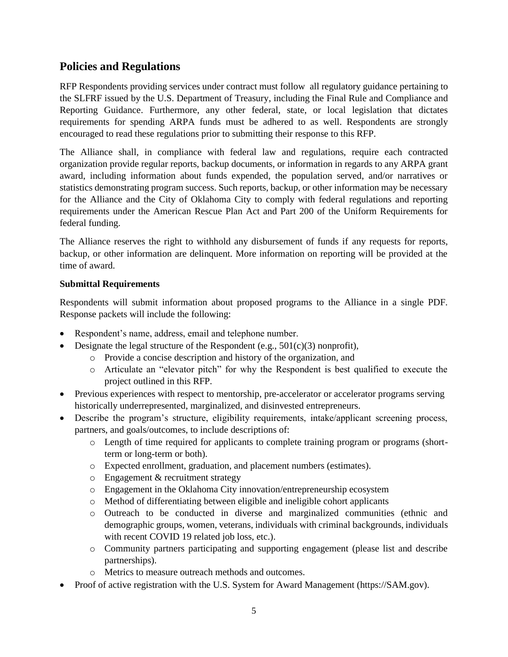### **Policies and Regulations**

RFP Respondents providing services under contract must follow all regulatory guidance pertaining to the SLFRF issued by the U.S. Department of Treasury, including the [Final Rule](https://www.govinfo.gov/content/pkg/FR-2022-01-27/pdf/2022-00292.pdf) and [Compliance and](https://home.treasury.gov/system/files/136/SLFRF-Compliance-and-Reporting-Guidance.pdf)  [Reporting Guidance.](https://home.treasury.gov/system/files/136/SLFRF-Compliance-and-Reporting-Guidance.pdf) Furthermore, any other federal, state, or local legislation that dictates requirements for spending ARPA funds must be adhered to as well. Respondents are strongly encouraged to read these regulations prior to submitting their response to this RFP.

The Alliance shall, in compliance with federal law and regulations, require each contracted organization provide regular reports, backup documents, or information in regards to any ARPA grant award, including information about funds expended, the population served, and/or narratives or statistics demonstrating program success. Such reports, backup, or other information may be necessary for the Alliance and the City of Oklahoma City to comply with federal regulations and reporting requirements under the American Rescue Plan Act and Part 200 of the Uniform Requirements for federal funding.

The Alliance reserves the right to withhold any disbursement of funds if any requests for reports, backup, or other information are delinquent. More information on reporting will be provided at the time of award.

#### **Submittal Requirements**

Respondents will submit information about proposed programs to the Alliance in a single PDF. Response packets will include the following:

- Respondent's name, address, email and telephone number.
- Designate the legal structure of the Respondent (e.g., 501(c)(3) nonprofit),
	- o Provide a concise description and history of the organization, and
	- o Articulate an "elevator pitch" for why the Respondent is best qualified to execute the project outlined in this RFP.
- Previous experiences with respect to mentorship, pre-accelerator or accelerator programs serving historically underrepresented, marginalized, and disinvested entrepreneurs.
- Describe the program's structure, eligibility requirements, intake/applicant screening process, partners, and goals/outcomes, to include descriptions of:
	- o Length of time required for applicants to complete training program or programs (shortterm or long-term or both).
	- o Expected enrollment, graduation, and placement numbers (estimates).
	- o Engagement & recruitment strategy
	- o Engagement in the Oklahoma City innovation/entrepreneurship ecosystem
	- o Method of differentiating between eligible and ineligible cohort applicants
	- o Outreach to be conducted in diverse and marginalized communities (ethnic and demographic groups, women, veterans, individuals with criminal backgrounds, individuals with recent COVID 19 related job loss, etc.).
	- o Community partners participating and supporting engagement (please list and describe partnerships).
	- o Metrics to measure outreach methods and outcomes.
- Proof of active registration with the U.S. System for Award Management [\(https://SAM.gov\)](https://sam.gov/).